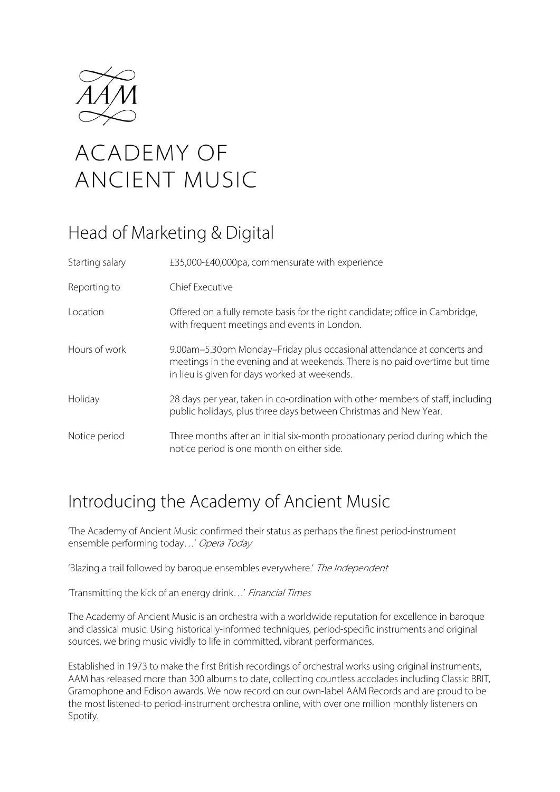

# **ACADEMY OF ANCIENT MUSIC**

# Head of Marketing & Digital

| Starting salary | £35,000-£40,000pa, commensurate with experience                                                                                                                                                        |
|-----------------|--------------------------------------------------------------------------------------------------------------------------------------------------------------------------------------------------------|
| Reporting to    | Chief Executive                                                                                                                                                                                        |
| Location        | Offered on a fully remote basis for the right candidate; office in Cambridge,<br>with frequent meetings and events in London.                                                                          |
| Hours of work   | 9.00am-5.30pm Monday-Friday plus occasional attendance at concerts and<br>meetings in the evening and at weekends. There is no paid overtime but time<br>in lieu is given for days worked at weekends. |
| Holiday         | 28 days per year, taken in co-ordination with other members of staff, including<br>public holidays, plus three days between Christmas and New Year.                                                    |
| Notice period   | Three months after an initial six-month probationary period during which the<br>notice period is one month on either side.                                                                             |

# Introducing the Academy of Ancient Music

'The Academy of Ancient Music confirmed their status as perhaps the finest period-instrument ensemble performing today…' Opera Today

'Blazing a trail followed by baroque ensembles everywhere.' The Independent

'Transmitting the kick of an energy drink…' Financial Times

The Academy of Ancient Music is an orchestra with a worldwide reputation for excellence in baroque and classical music. Using historically-informed techniques, period-specific instruments and original sources, we bring music vividly to life in committed, vibrant performances.

Established in 1973 to make the first British recordings of orchestral works using original instruments, AAM has released more than 300 albums to date, collecting countless accolades including Classic BRIT, Gramophone and Edison awards. We now record on our own-label AAM Records and are proud to be the most listened-to period-instrument orchestra online, with over one million monthly listeners on Spotify.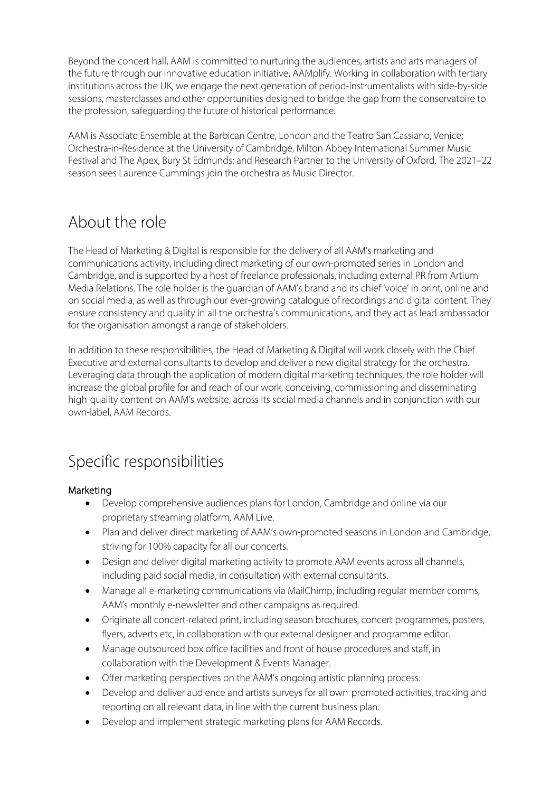Beyond the concert hall, AAM is committed to nurturing the audiences, artists and arts managers of the future through our innovative education initiative, AAMplify. Working in collaboration with tertiary institutions across the UK, we engage the next generation of period-instrumentalists with side-by-side sessions, masterclasses and other opportunities designed to bridge the gap from the conservatoire to the profession, safeguarding the future of historical performance.

AAM is Associate Ensemble at the Barbican Centre, London and the Teatro San Cassiano, Venice; Orchestra-in-Residence at the University of Cambridge, Milton Abbey International Summer Music Festival and The Apex, Bury St Edmunds; and Research Partner to the University of Oxford. The 2021–22 season sees Laurence Cummings join the orchestra as Music Director.

### About the role

The Head of Marketing & Digital is responsible for the delivery of all AAM's marketing and communications activity, including direct marketing of our own-promoted series in London and Cambridge, and is supported by a host of freelance professionals, including external PR from Artium Media Relations. The role holder is the guardian of AAM's brand and its chief 'voice' in print, online and on social media, as well as through our ever-growing catalogue of recordings and digital content. They ensure consistency and quality in all the orchestra's communications, and they act as lead ambassador for the organisation amongst a range of stakeholders.

In addition to these responsibilities, the Head of Marketing & Digital will work closely with the Chief Executive and external consultants to develop and deliver a new digital strategy for the orchestra. Leveraging data through the application of modern digital marketing techniques, the role holder will increase the global profile for and reach of our work, conceiving, commissioning and disseminating high-quality content on AAM's website, across its social media channels and in conjunction with our own-label, AAM Records.

# Specific responsibilities

#### Marketing

- Develop comprehensive audiences plans for London, Cambridge and online via our proprietary streaming platform, AAM Live.
- Plan and deliver direct marketing of AAM's own-promoted seasons in London and Cambridge, striving for 100% capacity for all our concerts.
- Design and deliver digital marketing activity to promote AAM events across all channels, including paid social media, in consultation with external consultants.
- Manage all e-marketing communications via MailChimp, including regular member comms, AAM's monthly e-newsletter and other campaigns as required.
- Originate all concert-related print, including season brochures, concert programmes, posters, flyers, adverts etc, in collaboration with our external designer and programme editor.
- Manage outsourced box office facilities and front of house procedures and staff, in collaboration with the Development & Events Manager.
- Offer marketing perspectives on the AAM's ongoing artistic planning process.
- Develop and deliver audience and artists surveys for all own-promoted activities, tracking and reporting on all relevant data, in line with the current business plan.
- Develop and implement strategic marketing plans for AAM Records.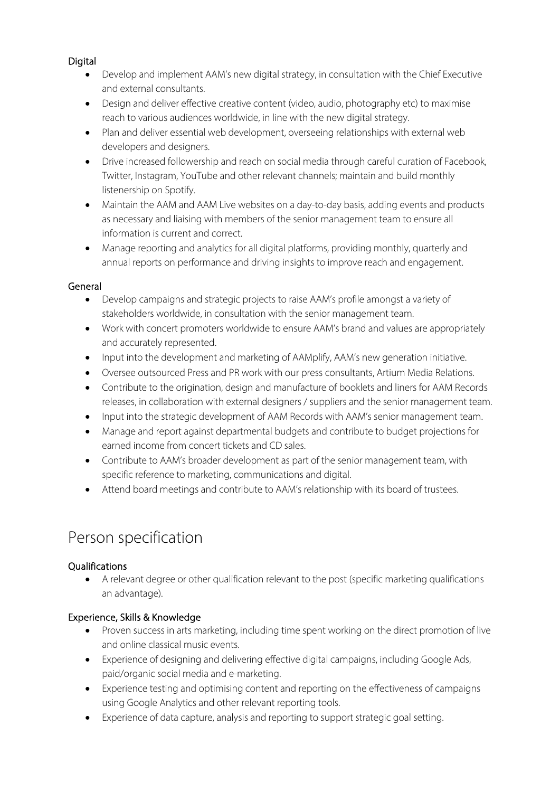#### Digital

- Develop and implement AAM's new digital strategy, in consultation with the Chief Executive and external consultants.
- Design and deliver effective creative content (video, audio, photography etc) to maximise reach to various audiences worldwide, in line with the new digital strategy.
- Plan and deliver essential web development, overseeing relationships with external web developers and designers.
- Drive increased followership and reach on social media through careful curation of Facebook, Twitter, Instagram, YouTube and other relevant channels; maintain and build monthly listenership on Spotify.
- Maintain the AAM and AAM Live websites on a day-to-day basis, adding events and products as necessary and liaising with members of the senior management team to ensure all information is current and correct.
- Manage reporting and analytics for all digital platforms, providing monthly, quarterly and annual reports on performance and driving insights to improve reach and engagement.

#### General

- Develop campaigns and strategic projects to raise AAM's profile amongst a variety of stakeholders worldwide, in consultation with the senior management team.
- Work with concert promoters worldwide to ensure AAM's brand and values are appropriately and accurately represented.
- Input into the development and marketing of AAMplify, AAM's new generation initiative.
- Oversee outsourced Press and PR work with our press consultants, Artium Media Relations.
- Contribute to the origination, design and manufacture of booklets and liners for AAM Records releases, in collaboration with external designers / suppliers and the senior management team.
- Input into the strategic development of AAM Records with AAM's senior management team.
- Manage and report against departmental budgets and contribute to budget projections for earned income from concert tickets and CD sales.
- Contribute to AAM's broader development as part of the senior management team, with specific reference to marketing, communications and digital.
- Attend board meetings and contribute to AAM's relationship with its board of trustees.

## Person specification

#### Qualifications

• A relevant degree or other qualification relevant to the post (specific marketing qualifications an advantage).

#### Experience, Skills & Knowledge

- Proven success in arts marketing, including time spent working on the direct promotion of live and online classical music events.
- Experience of designing and delivering effective digital campaigns, including Google Ads, paid/organic social media and e-marketing.
- Experience testing and optimising content and reporting on the effectiveness of campaigns using Google Analytics and other relevant reporting tools.
- Experience of data capture, analysis and reporting to support strategic goal setting.